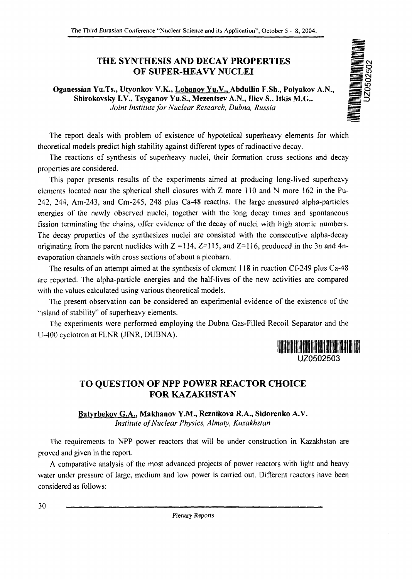## OF SUPER-HEAVY NUCLEI

THE SYNTHESIS AND DECAY PROPERTIES<br>
OF SUPER-HEAVY NUCLEI<br>
(u.Ts., Utyonkov V.K., <u>Lobanov Yu.V.,</u> Abdullin F.Sh., Polyakov A.N.,<br>
ovsky I.V., Tsyganov Yu.S., Mezentsev A.N., Iliev S., Itkis M.G..<br>
Joint Institute for Nucl **Oganessian Yu.Ts., Utyonkov V.K., Lobanov Yu.V., Abdullin F.Sh., Polyakov A.N.,** Shirokovsky I.V., Tsyganov Yu.S., Mezentsev A.N., Iliev S., Itkis M.G.. *Joint Institute for Nuclear Research, Dubna, Russia* 

The report deals with problem of existence of hypotetical superheavy elements for which theoretical models predict high stability against different types of radioactive decay.

The reactions of synthesis of superheavy nuclei, their formation cross sections and decay properties are considered.

This paper presents results of the experiments aimed at producing long-lived superheavy elements located near the spherical shell closures with Z more 110 and N more 162 in the Pu-242, 244, Am-243, and Cm-245, 248 plus Ca-48 reactins. The large measured alpha-particles energies of the newly observed nuclei, together with the long decay times and spontaneous fission terminating the chains, offer evidence of the decay of nuclei with high atomic numbers. The decay properties of the synthesizes nuclei are consisted with the consecutive alpha-decay originating from the parent nuclides with  $Z = 114$ ,  $Z = 115$ , and  $Z = 116$ , produced in the 3n and 4nevaporation channels with cross sections of about a picobam.

The results of an attempt aimed at the synthesis of element 118 in reaction Cf-249 plus Ca-48 are reported. The alpha-particle energies and the half-lives of the new activities arc compared with the values calculated using various theoretical models.

The present observation can be considered an experimental evidence of the existence of the "island of stability" of superheavy elements.

The experiments were performed employing the Dubna Gas-Filled Recoil Separator and the U-400 cyclotron at FLNR (JINR, DUBNA).



## TO QUESTION OF NPP POWER REACTOR CHOICE FOR KAZAKHSTAN

**Batvrbekov G.A., Makhanov Y.M., Reznikova R.A., Sidorenko** A.V. *Institute of Nuclear Physics, Almaty, Kazakhstan*

The requirements to NPP power reactors that will be under construction in Kazakhstan are proved and given in the report.

A comparative analysis of the most advanced projects of power reactors with light and heavy water under pressure of large, medium and low power is carried out. Different reactors have been considered as follows:

**30**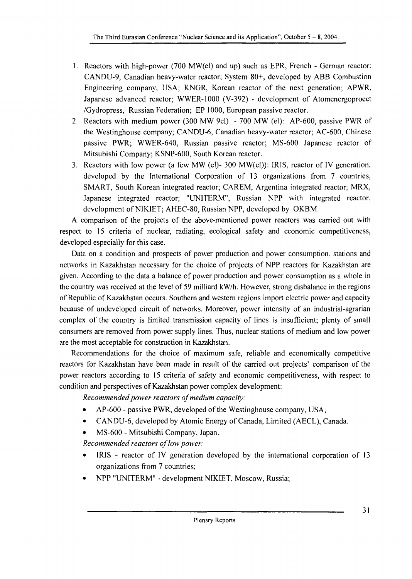- 1. Reactors with high-power (700 MW(el) and up) such as EPR, French German reactor; CANDU-9, Canadian heavy-water reactor; System 80+, developed by ABB Combustion Engineering company, USA; KNGR, Korean reactor of the next generation; APWR, Japanese advanced reactor; WWER-1000 (V-392) - development of Atomenergoproect /Gydropress, Russian Federation; EP 1000, European passive reactor.
- 2. Reactors with medium power (300 MW 9el) 700 MW (el): AP-600, passive PWR of the Westinghouse company; CANDU-6, Canadian heavy-water reactor; AC-600, Chinese passive PWR; WWER-640, Russian passive reactor; MS-600 Japanese reactor of Mitsubishi Company; KSNP-600, South Korean reactor.
- 3. Reactors with low power (a few MW (el)- 300 MW(el)): IRJS, reactor of IV generation, developed by the International Corporation of 13 organizations from 7 countries, SMART, South Korean integrated reactor; CAREM, Argentina integrated reactor; MRX, Japanese integrated reactor; "UNITERM", Russian NPP with integrated reactor, development of NIK1ET; AHEC-80, Russian NPP, developed by OKBM.

A comparison of the projects of the above-mentioned power reactors was carried out with respect to 15 criteria of nuclear, radiating, ecological safety and economic competitiveness, developed especially for this case.

Data on a condition and prospects of power production and power consumption, stations and networks in Kazakhstan necessary for the choice of projects of NPP reactors for Kazakhstan are given. According to the data a balance of power production and power consumption as a whole in the country was received at the level of 59 milliard kW/h. However, strong disbalance in the regions of Republic of Kazakhstan occurs. Southern and western regions import electric power and capacity because of undeveloped circuit of networks. Moreover, power intensity of an industrial-agrarian complex of the country is limited transmission capacity of lines is insufficient; plenty of small consumers are removed from power supply lines. Thus, nuclear stations of medium and low power are the most acceptable for construction in Kazakhstan.

Recommendations for the choice of maximum safe, reliable and economically competitive reactors for Kazakhstan have been made in result of the carried out projects' comparison of the power reactors according to 15 criteria of safety and economic competitiveness, with respect to condition and perspectives of Kazakhstan power complex development:

*Recommended power reactors of medium capacity:*

- AP-600 passive PWR, developed of the Westinghouse company, USA;
- CANDU-6, developed by Atomic Energy of Canada, Limited (AECL), Canada.
- MS-600 Mitsubishi Company, Japan.

*Recommended reactors of low power:*

- IRIS reactor of IV generation developed by the international corporation of 13 organizations from 7 countries;
- NPP "UNITERM" development NIKIET, Moscow, Russia;